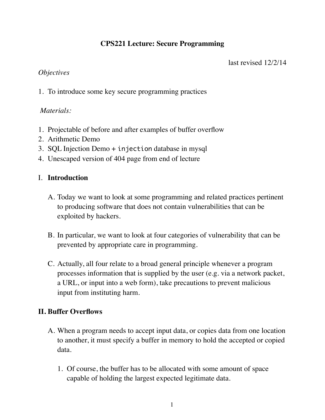# **CPS221 Lecture: Secure Programming**

last revised 12/2/14

## *Objectives*

1. To introduce some key secure programming practices

## *Materials:*

- 1. Projectable of before and after examples of buffer overflow
- 2. Arithmetic Demo
- 3. SQL Injection Demo + injection database in mysql
- 4. Unescaped version of 404 page from end of lecture

## I. **Introduction**

- A. Today we want to look at some programming and related practices pertinent to producing software that does not contain vulnerabilities that can be exploited by hackers.
- B. In particular, we want to look at four categories of vulnerability that can be prevented by appropriate care in programming.
- C. Actually, all four relate to a broad general principle whenever a program processes information that is supplied by the user (e.g. via a network packet, a URL, or input into a web form), take precautions to prevent malicious input from instituting harm.

## **II. Buffer Overflows**

- A. When a program needs to accept input data, or copies data from one location to another, it must specify a buffer in memory to hold the accepted or copied data.
	- 1. Of course, the buffer has to be allocated with some amount of space capable of holding the largest expected legitimate data.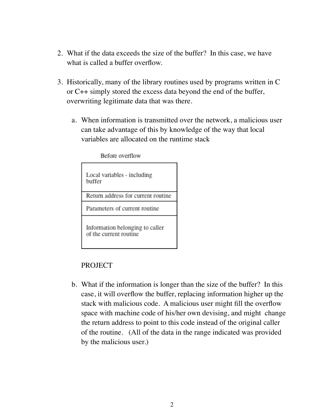- 2. What if the data exceeds the size of the buffer? In this case, we have what is called a buffer overflow.
- 3. Historically, many of the library routines used by programs written in C or C++ simply stored the excess data beyond the end of the buffer, overwriting legitimate data that was there.
	- a. When information is transmitted over the network, a malicious user can take advantage of this by knowledge of the way that local variables are allocated on the runtime stack

Before overflow

| Local variables - including<br>buffer                     |
|-----------------------------------------------------------|
| Return address for current routine                        |
| Parameters of current routine                             |
| Information belonging to caller<br>of the current routine |

#### PROJECT

b. What if the information is longer than the size of the buffer? In this case, it will overflow the buffer, replacing information higher up the stack with malicious code. A malicious user might fill the overflow space with machine code of his/her own devising, and might change the return address to point to this code instead of the original caller of the routine. (All of the data in the range indicated was provided by the malicious user.)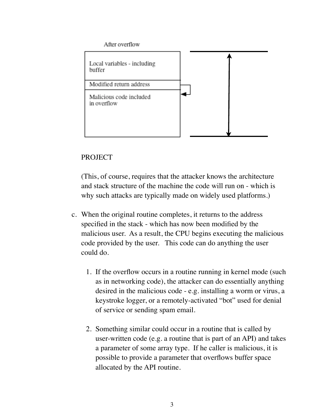

# PROJECT

(This, of course, requires that the attacker knows the architecture and stack structure of the machine the code will run on - which is why such attacks are typically made on widely used platforms.)

- c. When the original routine completes, it returns to the address specified in the stack - which has now been modified by the malicious user. As a result, the CPU begins executing the malicious code provided by the user. This code can do anything the user could do.
	- 1. If the overflow occurs in a routine running in kernel mode (such as in networking code), the attacker can do essentially anything desired in the malicious code - e.g. installing a worm or virus, a keystroke logger, or a remotely-activated "bot" used for denial of service or sending spam email.
	- 2. Something similar could occur in a routine that is called by user-written code (e.g. a routine that is part of an API) and takes a parameter of some array type. If he caller is malicious, it is possible to provide a parameter that overflows buffer space allocated by the API routine.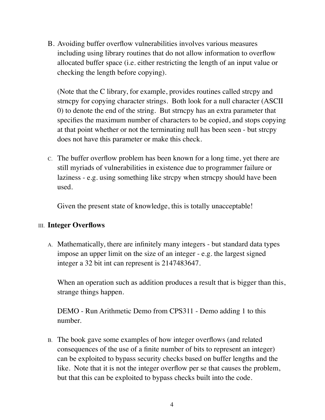B. Avoiding buffer overflow vulnerabilities involves various measures including using library routines that do not allow information to overflow allocated buffer space (i.e. either restricting the length of an input value or checking the length before copying).

(Note that the C library, for example, provides routines called strcpy and strncpy for copying character strings. Both look for a null character (ASCII 0) to denote the end of the string. But strncpy has an extra parameter that specifies the maximum number of characters to be copied, and stops copying at that point whether or not the terminating null has been seen - but strcpy does not have this parameter or make this check.

C. The buffer overflow problem has been known for a long time, yet there are still myriads of vulnerabilities in existence due to programmer failure or laziness - e.g. using something like strcpy when strncpy should have been used.

Given the present state of knowledge, this is totally unacceptable!

### III. **Integer Overflows**

A. Mathematically, there are infinitely many integers - but standard data types impose an upper limit on the size of an integer - e.g. the largest signed integer a 32 bit int can represent is 2147483647.

When an operation such as addition produces a result that is bigger than this, strange things happen.

DEMO - Run Arithmetic Demo from CPS311 - Demo adding 1 to this number.

B. The book gave some examples of how integer overflows (and related consequences of the use of a finite number of bits to represent an integer) can be exploited to bypass security checks based on buffer lengths and the like. Note that it is not the integer overflow per se that causes the problem, but that this can be exploited to bypass checks built into the code.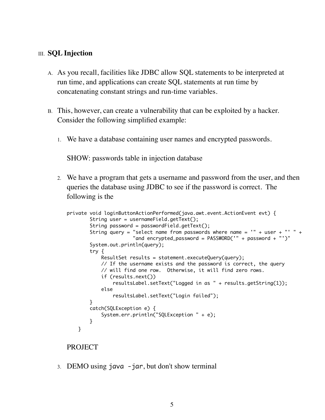#### III. **SQL Injection**

- A. As you recall, facilities like JDBC allow SQL statements to be interpreted at run time, and applications can create SQL statements at run time by concatenating constant strings and run-time variables.
- B. This, however, can create a vulnerability that can be exploited by a hacker. Consider the following simplified example:
	- 1. We have a database containing user names and encrypted passwords.

SHOW: passwords table in injection database

2. We have a program that gets a username and password from the user, and then queries the database using JDBC to see if the password is correct. The following is the

```
private void loginButtonActionPerformed(java.awt.event.ActionEvent evt) { 
    String user = usernameField.getText();
    String password = passwordField.getText();
   String query = "select name from passwords where name = " + user + " +
                   "and encrypted_password = PASSWORD('" + password + "')"
    System.out.println(query);
    try {
       ResultSet results = statement.executeQuery(query);
        // If the username exists and the password is correct, the query
        // will find one row. Otherwise, it will find zero rows.
        if (results.next())
            resultsLabel.setText("Logged in as " + results.getString(1));
        else
            resultsLabel.setText("Login failed");
    }
    catch(SQLException e) {
        System.err.println("SQLException " + e);
    } 
}
```
#### PROJECT

3. DEMO using java -jar, but don't show terminal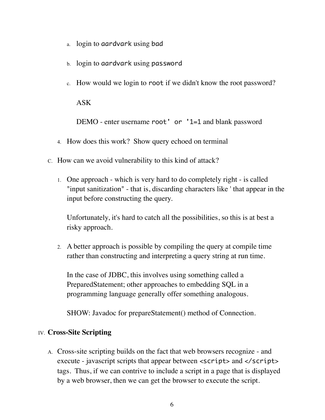- a. login to aardvark using bad
- b. login to aardvark using password
- c. How would we login to root if we didn't know the root password?

ASK

DEMO - enter username root' or '1=1 and blank password

- 4. How does this work? Show query echoed on terminal
- C. How can we avoid vulnerability to this kind of attack?
	- 1. One approach which is very hard to do completely right is called "input sanitization" - that is, discarding characters like ' that appear in the input before constructing the query.

Unfortunately, it's hard to catch all the possibilities, so this is at best a risky approach.

2. A better approach is possible by compiling the query at compile time rather than constructing and interpreting a query string at run time.

In the case of JDBC, this involves using something called a PreparedStatement; other approaches to embedding SQL in a programming language generally offer something analogous.

SHOW: Javadoc for prepareStatement() method of Connection.

### IV. **Cross-Site Scripting**

A. Cross-site scripting builds on the fact that web browsers recognize - and execute - javascript scripts that appear between <script> and </script> tags. Thus, if we can contrive to include a script in a page that is displayed by a web browser, then we can get the browser to execute the script.